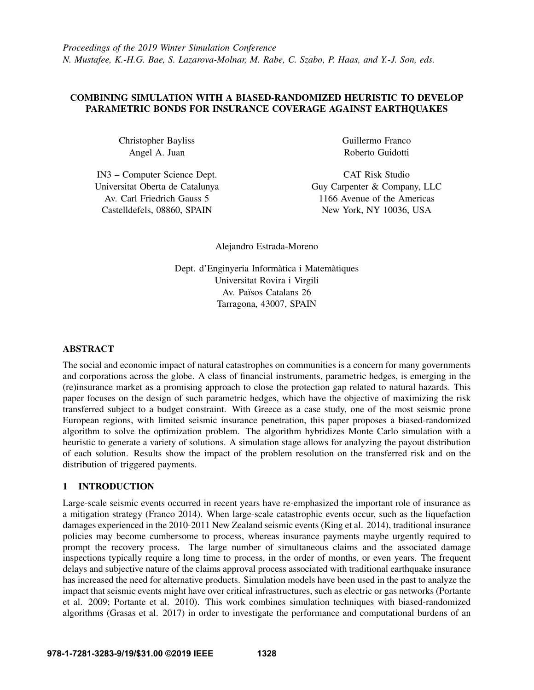# COMBINING SIMULATION WITH A BIASED-RANDOMIZED HEURISTIC TO DEVELOP PARAMETRIC BONDS FOR INSURANCE COVERAGE AGAINST EARTHQUAKES

Christopher Bayliss Angel A. Juan

IN3 – Computer Science Dept. Universitat Oberta de Catalunya Av. Carl Friedrich Gauss 5 Castelldefels, 08860, SPAIN

Guillermo Franco Roberto Guidotti

CAT Risk Studio Guy Carpenter & Company, LLC 1166 Avenue of the Americas New York, NY 10036, USA

Alejandro Estrada-Moreno

Dept. d'Enginyeria Informàtica i Matemàtiques Universitat Rovira i Virgili Av. Països Catalans 26 Tarragona, 43007, SPAIN

# ABSTRACT

The social and economic impact of natural catastrophes on communities is a concern for many governments and corporations across the globe. A class of financial instruments, parametric hedges, is emerging in the (re)insurance market as a promising approach to close the protection gap related to natural hazards. This paper focuses on the design of such parametric hedges, which have the objective of maximizing the risk transferred subject to a budget constraint. With Greece as a case study, one of the most seismic prone European regions, with limited seismic insurance penetration, this paper proposes a biased-randomized algorithm to solve the optimization problem. The algorithm hybridizes Monte Carlo simulation with a heuristic to generate a variety of solutions. A simulation stage allows for analyzing the payout distribution of each solution. Results show the impact of the problem resolution on the transferred risk and on the distribution of triggered payments.

# 1 INTRODUCTION

Large-scale seismic events occurred in recent years have re-emphasized the important role of insurance as a mitigation strategy [\(Franco 2014\)](#page-10-0). When large-scale catastrophic events occur, such as the liquefaction damages experienced in the 2010-2011 New Zealand seismic events [\(King et al. 2014\)](#page-11-0), traditional insurance policies may become cumbersome to process, whereas insurance payments maybe urgently required to prompt the recovery process. The large number of simultaneous claims and the associated damage inspections typically require a long time to process, in the order of months, or even years. The frequent delays and subjective nature of the claims approval process associated with traditional earthquake insurance has increased the need for alternative products. Simulation models have been used in the past to analyze the impact that seismic events might have over critical infrastructures, such as electric or gas networks [\(Portante](#page-11-1) [et al. 2009;](#page-11-1) [Portante et al. 2010\)](#page-11-2). This work combines simulation techniques with biased-randomized algorithms [\(Grasas et al. 2017\)](#page-10-1) in order to investigate the performance and computational burdens of an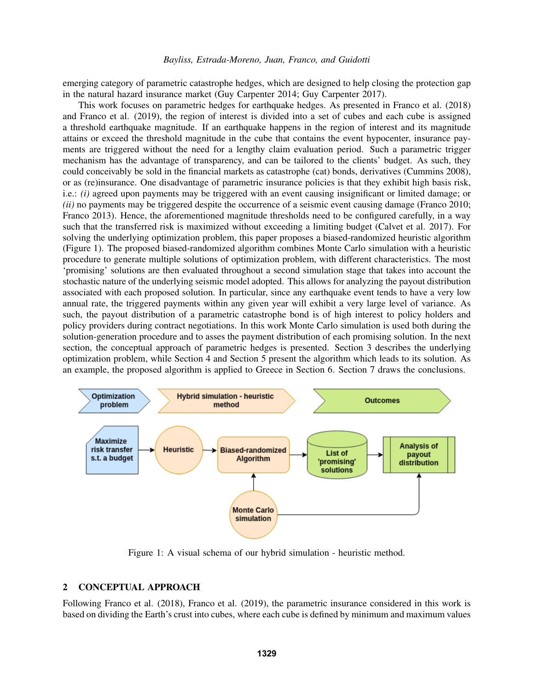emerging category of parametric catastrophe hedges, which are designed to help closing the protection gap in the natural hazard insurance market [\(Guy Carpenter 2014;](#page-10-2) [Guy Carpenter 2017\)](#page-11-3).

This work focuses on parametric hedges for earthquake hedges. As presented in [Franco et al. \(2018\)](#page-10-3) and [Franco et al. \(2019\),](#page-10-4) the region of interest is divided into a set of cubes and each cube is assigned a threshold earthquake magnitude. If an earthquake happens in the region of interest and its magnitude attains or exceed the threshold magnitude in the cube that contains the event hypocenter, insurance payments are triggered without the need for a lengthy claim evaluation period. Such a parametric trigger mechanism has the advantage of transparency, and can be tailored to the clients' budget. As such, they could conceivably be sold in the financial markets as catastrophe (cat) bonds, derivatives [\(Cummins 2008\)](#page-10-5), or as (re)insurance. One disadvantage of parametric insurance policies is that they exhibit high basis risk, i.e.: *(i)* agreed upon payments may be triggered with an event causing insignificant or limited damage; or *(ii)* no payments may be triggered despite the occurrence of a seismic event causing damage [\(Franco 2010;](#page-10-6) [Franco 2013\)](#page-10-7). Hence, the aforementioned magnitude thresholds need to be configured carefully, in a way such that the transferred risk is maximized without exceeding a limiting budget [\(Calvet et al. 2017\)](#page-10-8). For solving the underlying optimization problem, this paper proposes a biased-randomized heuristic algorithm (Figure [1\)](#page-1-0). The proposed biased-randomized algorithm combines Monte Carlo simulation with a heuristic procedure to generate multiple solutions of optimization problem, with different characteristics. The most 'promising' solutions are then evaluated throughout a second simulation stage that takes into account the stochastic nature of the underlying seismic model adopted. This allows for analyzing the payout distribution associated with each proposed solution. In particular, since any earthquake event tends to have a very low annual rate, the triggered payments within any given year will exhibit a very large level of variance. As such, the payout distribution of a parametric catastrophe bond is of high interest to policy holders and policy providers during contract negotiations. In this work Monte Carlo simulation is used both during the solution-generation procedure and to asses the payment distribution of each promising solution. In the next section, the conceptual approach of parametric hedges is presented. Section 3 describes the underlying optimization problem, while Section 4 and Section 5 present the algorithm which leads to its solution. As an example, the proposed algorithm is applied to Greece in Section 6. Section 7 draws the conclusions.



<span id="page-1-0"></span>Figure 1: A visual schema of our hybrid simulation - heuristic method.

## 2 CONCEPTUAL APPROACH

Following [Franco et al. \(2018\),](#page-10-3) [Franco et al. \(2019\),](#page-10-4) the parametric insurance considered in this work is based on dividing the Earth's crust into cubes, where each cube is defined by minimum and maximum values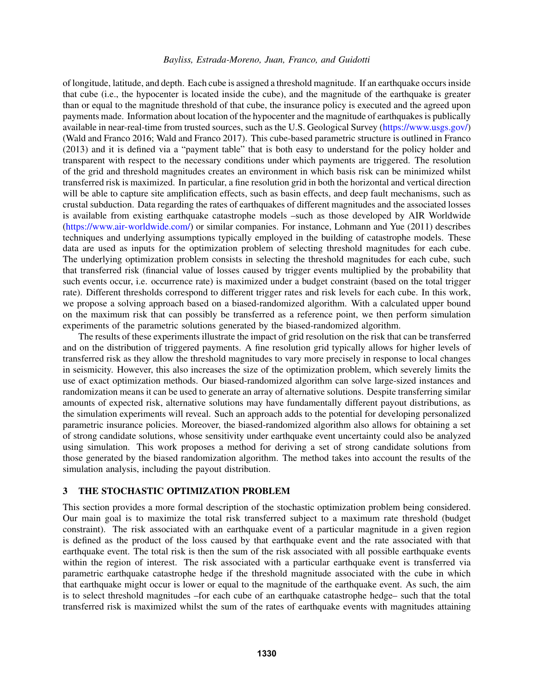of longitude, latitude, and depth. Each cube is assigned a threshold magnitude. If an earthquake occurs inside that cube (i.e., the hypocenter is located inside the cube), and the magnitude of the earthquake is greater than or equal to the magnitude threshold of that cube, the insurance policy is executed and the agreed upon payments made. Information about location of the hypocenter and the magnitude of earthquakes is publically available in near-real-time from trusted sources, such as the U.S. Geological Survey [\(https://www.usgs.gov/\)](https://www.usgs.gov/) [\(Wald and Franco 2016;](#page-11-4) [Wald and Franco 2017\)](#page-11-5). This cube-based parametric structure is outlined in [Franco](#page-10-7) [\(2013\)](#page-10-7) and it is defined via a "payment table" that is both easy to understand for the policy holder and transparent with respect to the necessary conditions under which payments are triggered. The resolution of the grid and threshold magnitudes creates an environment in which basis risk can be minimized whilst transferred risk is maximized. In particular, a fine resolution grid in both the horizontal and vertical direction will be able to capture site amplification effects, such as basin effects, and deep fault mechanisms, such as crustal subduction. Data regarding the rates of earthquakes of different magnitudes and the associated losses is available from existing earthquake catastrophe models –such as those developed by AIR Worldwide [\(https://www.air-worldwide.com/\)](https://www.air-worldwide.com/) or similar companies. For instance, [Lohmann and Yue \(2011\)](#page-11-6) describes techniques and underlying assumptions typically employed in the building of catastrophe models. These data are used as inputs for the optimization problem of selecting threshold magnitudes for each cube. The underlying optimization problem consists in selecting the threshold magnitudes for each cube, such that transferred risk (financial value of losses caused by trigger events multiplied by the probability that such events occur, i.e. occurrence rate) is maximized under a budget constraint (based on the total trigger rate). Different thresholds correspond to different trigger rates and risk levels for each cube. In this work, we propose a solving approach based on a biased-randomized algorithm. With a calculated upper bound on the maximum risk that can possibly be transferred as a reference point, we then perform simulation experiments of the parametric solutions generated by the biased-randomized algorithm.

The results of these experiments illustrate the impact of grid resolution on the risk that can be transferred and on the distribution of triggered payments. A fine resolution grid typically allows for higher levels of transferred risk as they allow the threshold magnitudes to vary more precisely in response to local changes in seismicity. However, this also increases the size of the optimization problem, which severely limits the use of exact optimization methods. Our biased-randomized algorithm can solve large-sized instances and randomization means it can be used to generate an array of alternative solutions. Despite transferring similar amounts of expected risk, alternative solutions may have fundamentally different payout distributions, as the simulation experiments will reveal. Such an approach adds to the potential for developing personalized parametric insurance policies. Moreover, the biased-randomized algorithm also allows for obtaining a set of strong candidate solutions, whose sensitivity under earthquake event uncertainty could also be analyzed using simulation. This work proposes a method for deriving a set of strong candidate solutions from those generated by the biased randomization algorithm. The method takes into account the results of the simulation analysis, including the payout distribution.

# <span id="page-2-0"></span>3 THE STOCHASTIC OPTIMIZATION PROBLEM

This section provides a more formal description of the stochastic optimization problem being considered. Our main goal is to maximize the total risk transferred subject to a maximum rate threshold (budget constraint). The risk associated with an earthquake event of a particular magnitude in a given region is defined as the product of the loss caused by that earthquake event and the rate associated with that earthquake event. The total risk is then the sum of the risk associated with all possible earthquake events within the region of interest. The risk associated with a particular earthquake event is transferred via parametric earthquake catastrophe hedge if the threshold magnitude associated with the cube in which that earthquake might occur is lower or equal to the magnitude of the earthquake event. As such, the aim is to select threshold magnitudes –for each cube of an earthquake catastrophe hedge– such that the total transferred risk is maximized whilst the sum of the rates of earthquake events with magnitudes attaining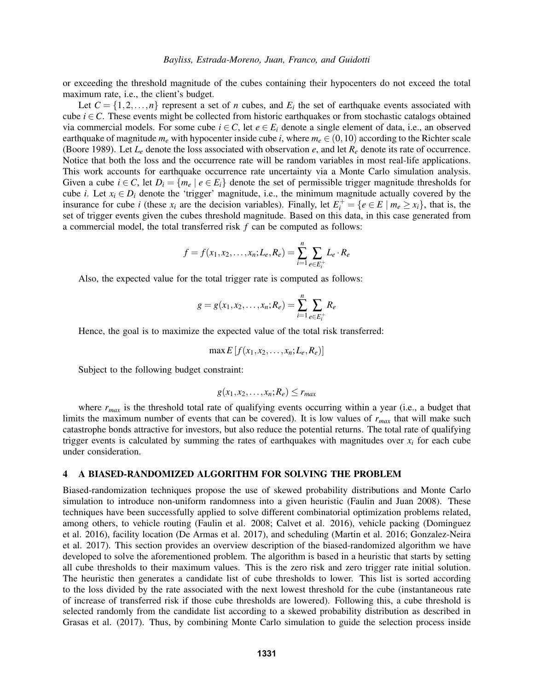or exceeding the threshold magnitude of the cubes containing their hypocenters do not exceed the total maximum rate, i.e., the client's budget.

Let  $C = \{1, 2, ..., n\}$  represent a set of *n* cubes, and  $E_i$  the set of earthquake events associated with cube  $i \in \mathcal{C}$ . These events might be collected from historic earthquakes or from stochastic catalogs obtained via commercial models. For some cube  $i \in C$ , let  $e \in E_i$  denote a single element of data, i.e., an observed earthquake of magnitude  $m_e$  with hypocenter inside cube *i*, where  $m_e \in (0, 10)$  according to the Richter scale [\(Boore 1989\)](#page-10-9). Let  $L_e$  denote the loss associated with observation  $e$ , and let  $R_e$  denote its rate of occurrence. Notice that both the loss and the occurrence rate will be random variables in most real-life applications. This work accounts for earthquake occurrence rate uncertainty via a Monte Carlo simulation analysis. Given a cube  $i \in C$ , let  $D_i = \{m_e \mid e \in E_i\}$  denote the set of permissible trigger magnitude thresholds for cube *i*. Let  $x_i \in D_i$  denote the 'trigger' magnitude, i.e., the minimum magnitude actually covered by the insurance for cube *i* (these  $x_i$  are the decision variables). Finally, let  $E_i^+ = \{e \in E \mid m_e \ge x_i\}$ , that is, the set of trigger events given the cubes threshold magnitude. Based on this data, in this case generated from a commercial model, the total transferred risk *f* can be computed as follows:

$$
f = f(x_1, x_2, \dots, x_n; L_e, R_e) = \sum_{i=1}^n \sum_{e \in E_i^+} L_e \cdot R_e
$$

Also, the expected value for the total trigger rate is computed as follows:

$$
g = g(x_1, x_2, \dots, x_n; R_e) = \sum_{i=1}^n \sum_{e \in E_i^+} R_e
$$

Hence, the goal is to maximize the expected value of the total risk transferred:

$$
\max E[f(x_1,x_2,\ldots,x_n;L_e,R_e)]
$$

Subject to the following budget constraint:

$$
g(x_1,x_2,\ldots,x_n;R_e)\leq r_{max}
$$

where  $r_{max}$  is the threshold total rate of qualifying events occurring within a year (i.e., a budget that limits the maximum number of events that can be covered). It is low values of *rmax* that will make such catastrophe bonds attractive for investors, but also reduce the potential returns. The total rate of qualifying trigger events is calculated by summing the rates of earthquakes with magnitudes over  $x_i$  for each cube under consideration.

## 4 A BIASED-RANDOMIZED ALGORITHM FOR SOLVING THE PROBLEM

Biased-randomization techniques propose the use of skewed probability distributions and Monte Carlo simulation to introduce non-uniform randomness into a given heuristic [\(Faulin and Juan 2008\)](#page-10-10). These techniques have been successfully applied to solve different combinatorial optimization problems related, among others, to vehicle routing [\(Faulin et al. 2008;](#page-10-11) [Calvet et al. 2016\)](#page-10-12), vehicle packing [\(Dominguez](#page-10-13) [et al. 2016\)](#page-10-13), facility location [\(De Armas et al. 2017\)](#page-10-14), and scheduling [\(Martin et al. 2016;](#page-11-7) [Gonzalez-Neira](#page-10-15) [et al. 2017\)](#page-10-15). This section provides an overview description of the biased-randomized algorithm we have developed to solve the aforementioned problem. The algorithm is based in a heuristic that starts by setting all cube thresholds to their maximum values. This is the zero risk and zero trigger rate initial solution. The heuristic then generates a candidate list of cube thresholds to lower. This list is sorted according to the loss divided by the rate associated with the next lowest threshold for the cube (instantaneous rate of increase of transferred risk if those cube thresholds are lowered). Following this, a cube threshold is selected randomly from the candidate list according to a skewed probability distribution as described in [Grasas et al. \(2017\).](#page-10-1) Thus, by combining Monte Carlo simulation to guide the selection process inside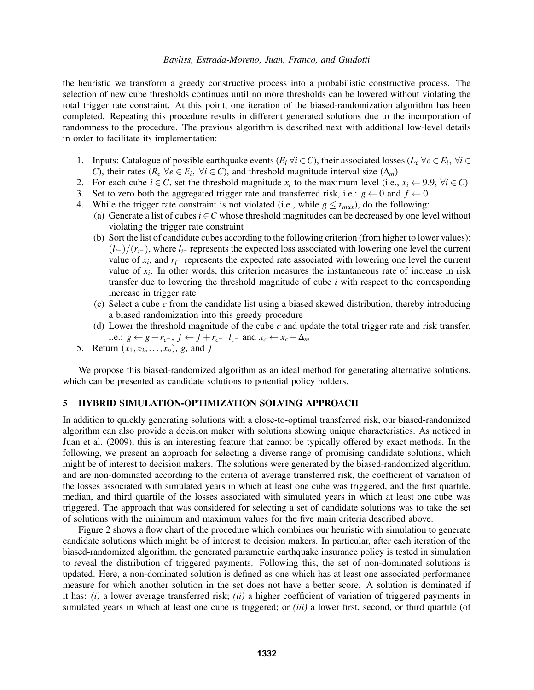the heuristic we transform a greedy constructive process into a probabilistic constructive process. The selection of new cube thresholds continues until no more thresholds can be lowered without violating the total trigger rate constraint. At this point, one iteration of the biased-randomization algorithm has been completed. Repeating this procedure results in different generated solutions due to the incorporation of randomness to the procedure. The previous algorithm is described next with additional low-level details in order to facilitate its implementation:

- 1. Inputs: Catalogue of possible earthquake events ( $E_i \forall i \in C$ ), their associated losses ( $L_e \forall e \in E_i$ ,  $\forall i \in C$ *C*), their rates ( $R_e \ \forall e \in E_i$ ,  $\forall i \in C$ ), and threshold magnitude interval size ( $\Delta_m$ )
- 2. For each cube  $i \in C$ , set the threshold magnitude  $x_i$  to the maximum level (i.e.,  $x_i \leftarrow 9.9$ ,  $\forall i \in C$ )
- 3. Set to zero both the aggregated trigger rate and transferred risk, i.e.:  $g \leftarrow 0$  and  $f \leftarrow 0$
- 4. While the trigger rate constraint is not violated (i.e., while  $g \le r_{max}$ ), do the following:
	- (a) Generate a list of cubes  $i \in C$  whose threshold magnitudes can be decreased by one level without violating the trigger rate constraint
	- (b) Sort the list of candidate cubes according to the following criterion (from higher to lower values): (*li*<sup>−</sup> )/(*ri*<sup>−</sup> ), where *li*<sup>−</sup> represents the expected loss associated with lowering one level the current value of  $x_i$ , and  $r_i$ – represents the expected rate associated with lowering one level the current value of  $x_i$ . In other words, this criterion measures the instantaneous rate of increase in risk transfer due to lowering the threshold magnitude of cube *i* with respect to the corresponding increase in trigger rate
	- (c) Select a cube *c* from the candidate list using a biased skewed distribution, thereby introducing a biased randomization into this greedy procedure
	- (d) Lower the threshold magnitude of the cube *c* and update the total trigger rate and risk transfer, i.e.:  $g \leftarrow g + r_{c^-}, f \leftarrow f + r_{c^-} \cdot l_{c^-}$  and  $x_c \leftarrow x_c - \Delta_m$
- 5. Return  $(x_1, x_2, ..., x_n)$ , *g*, and *f*

We propose this biased-randomized algorithm as an ideal method for generating alternative solutions, which can be presented as candidate solutions to potential policy holders.

# 5 HYBRID SIMULATION-OPTIMIZATION SOLVING APPROACH

In addition to quickly generating solutions with a close-to-optimal transferred risk, our biased-randomized algorithm can also provide a decision maker with solutions showing unique characteristics. As noticed in [Juan et al. \(2009\),](#page-11-8) this is an interesting feature that cannot be typically offered by exact methods. In the following, we present an approach for selecting a diverse range of promising candidate solutions, which might be of interest to decision makers. The solutions were generated by the biased-randomized algorithm, and are non-dominated according to the criteria of average transferred risk, the coefficient of variation of the losses associated with simulated years in which at least one cube was triggered, and the first quartile, median, and third quartile of the losses associated with simulated years in which at least one cube was triggered. The approach that was considered for selecting a set of candidate solutions was to take the set of solutions with the minimum and maximum values for the five main criteria described above.

Figure [2](#page-5-0) shows a flow chart of the procedure which combines our heuristic with simulation to generate candidate solutions which might be of interest to decision makers. In particular, after each iteration of the biased-randomized algorithm, the generated parametric earthquake insurance policy is tested in simulation to reveal the distribution of triggered payments. Following this, the set of non-dominated solutions is updated. Here, a non-dominated solution is defined as one which has at least one associated performance measure for which another solution in the set does not have a better score. A solution is dominated if it has: *(i)* a lower average transferred risk; *(ii)* a higher coefficient of variation of triggered payments in simulated years in which at least one cube is triggered; or *(iii)* a lower first, second, or third quartile (of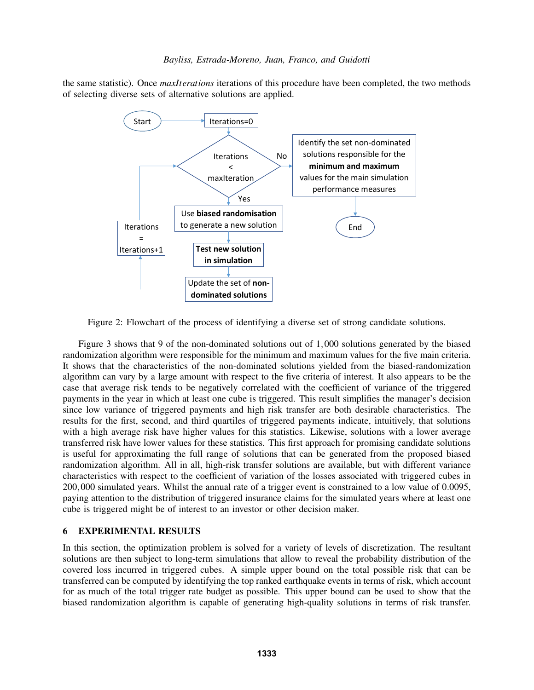the same statistic). Once *maxIterations* iterations of this procedure have been completed, the two methods of selecting diverse sets of alternative solutions are applied.



<span id="page-5-0"></span>Figure 2: Flowchart of the process of identifying a diverse set of strong candidate solutions.

Figure [3](#page-6-0) shows that 9 of the non-dominated solutions out of 1,000 solutions generated by the biased randomization algorithm were responsible for the minimum and maximum values for the five main criteria. It shows that the characteristics of the non-dominated solutions yielded from the biased-randomization algorithm can vary by a large amount with respect to the five criteria of interest. It also appears to be the case that average risk tends to be negatively correlated with the coefficient of variance of the triggered payments in the year in which at least one cube is triggered. This result simplifies the manager's decision since low variance of triggered payments and high risk transfer are both desirable characteristics. The results for the first, second, and third quartiles of triggered payments indicate, intuitively, that solutions with a high average risk have higher values for this statistics. Likewise, solutions with a lower average transferred risk have lower values for these statistics. This first approach for promising candidate solutions is useful for approximating the full range of solutions that can be generated from the proposed biased randomization algorithm. All in all, high-risk transfer solutions are available, but with different variance characteristics with respect to the coefficient of variation of the losses associated with triggered cubes in 200,000 simulated years. Whilst the annual rate of a trigger event is constrained to a low value of 0.0095, paying attention to the distribution of triggered insurance claims for the simulated years where at least one cube is triggered might be of interest to an investor or other decision maker.

# 6 EXPERIMENTAL RESULTS

In this section, the optimization problem is solved for a variety of levels of discretization. The resultant solutions are then subject to long-term simulations that allow to reveal the probability distribution of the covered loss incurred in triggered cubes. A simple upper bound on the total possible risk that can be transferred can be computed by identifying the top ranked earthquake events in terms of risk, which account for as much of the total trigger rate budget as possible. This upper bound can be used to show that the biased randomization algorithm is capable of generating high-quality solutions in terms of risk transfer.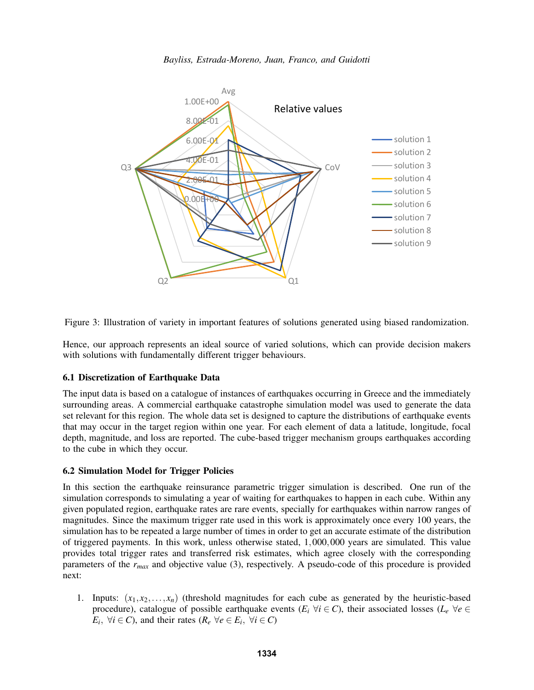

<span id="page-6-0"></span>Figure 3: Illustration of variety in important features of solutions generated using biased randomization.

Hence, our approach represents an ideal source of varied solutions, which can provide decision makers with solutions with fundamentally different trigger behaviours.

## 6.1 Discretization of Earthquake Data

The input data is based on a catalogue of instances of earthquakes occurring in Greece and the immediately surrounding areas. A commercial earthquake catastrophe simulation model was used to generate the data set relevant for this region. The whole data set is designed to capture the distributions of earthquake events that may occur in the target region within one year. For each element of data a latitude, longitude, focal depth, magnitude, and loss are reported. The cube-based trigger mechanism groups earthquakes according to the cube in which they occur.

## 6.2 Simulation Model for Trigger Policies

In this section the earthquake reinsurance parametric trigger simulation is described. One run of the simulation corresponds to simulating a year of waiting for earthquakes to happen in each cube. Within any given populated region, earthquake rates are rare events, specially for earthquakes within narrow ranges of magnitudes. Since the maximum trigger rate used in this work is approximately once every 100 years, the simulation has to be repeated a large number of times in order to get an accurate estimate of the distribution of triggered payments. In this work, unless otherwise stated, 1,000,000 years are simulated. This value provides total trigger rates and transferred risk estimates, which agree closely with the corresponding parameters of the *rmax* and objective value [\(3\)](#page-2-0), respectively. A pseudo-code of this procedure is provided next:

1. Inputs:  $(x_1, x_2, \ldots, x_n)$  (threshold magnitudes for each cube as generated by the heuristic-based procedure), catalogue of possible earthquake events  $(E_i \forall i \in C)$ , their associated losses  $(L_e \forall e \in C)$  $E_i$ ,  $\forall i \in C$ ), and their rates ( $R_e$   $\forall e \in E_i$ ,  $\forall i \in C$ )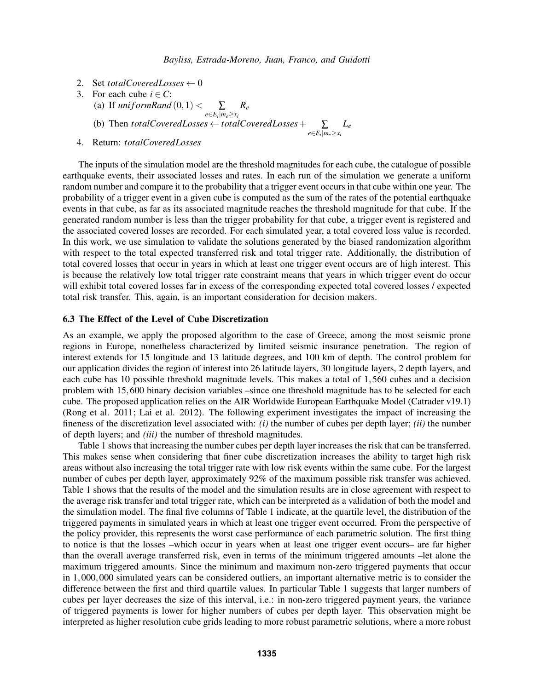*e*∈*E<sup>i</sup>* |*me*≥*x<sup>i</sup>*

- 2. Set *totalCoveredLosses*  $\leftarrow 0$
- 3. For each cube  $i \in C$ :
	- (a) If  $uniformRand(0,1) < \sum$ *Re*
	- $e∈E$ <sup>*i*</sup> $|m$ *e* $≥$ *x*<sup>*i*</sup> (b) Then *totalCoveredLosses* ← *totalCoveredLosses*+ ∑ *Le*
- 4. Return: *totalCoveredLosses*

The inputs of the simulation model are the threshold magnitudes for each cube, the catalogue of possible earthquake events, their associated losses and rates. In each run of the simulation we generate a uniform random number and compare it to the probability that a trigger event occurs in that cube within one year. The probability of a trigger event in a given cube is computed as the sum of the rates of the potential earthquake events in that cube, as far as its associated magnitude reaches the threshold magnitude for that cube. If the generated random number is less than the trigger probability for that cube, a trigger event is registered and the associated covered losses are recorded. For each simulated year, a total covered loss value is recorded. In this work, we use simulation to validate the solutions generated by the biased randomization algorithm with respect to the total expected transferred risk and total trigger rate. Additionally, the distribution of total covered losses that occur in years in which at least one trigger event occurs are of high interest. This is because the relatively low total trigger rate constraint means that years in which trigger event do occur will exhibit total covered losses far in excess of the corresponding expected total covered losses / expected total risk transfer. This, again, is an important consideration for decision makers.

## 6.3 The Effect of the Level of Cube Discretization

As an example, we apply the proposed algorithm to the case of Greece, among the most seismic prone regions in Europe, nonetheless characterized by limited seismic insurance penetration. The region of interest extends for 15 longitude and 13 latitude degrees, and 100 km of depth. The control problem for our application divides the region of interest into 26 latitude layers, 30 longitude layers, 2 depth layers, and each cube has 10 possible threshold magnitude levels. This makes a total of 1,560 cubes and a decision problem with 15,600 binary decision variables –since one threshold magnitude has to be selected for each cube. The proposed application relies on the AIR Worldwide European Earthquake Model (Catrader v19.1) [\(Rong et al. 2011;](#page-11-9) [Lai et al. 2012\)](#page-11-10). The following experiment investigates the impact of increasing the fineness of the discretization level associated with: *(i)* the number of cubes per depth layer; *(ii)* the number of depth layers; and *(iii)* the number of threshold magnitudes.

Table [1](#page-8-0) shows that increasing the number cubes per depth layer increases the risk that can be transferred. This makes sense when considering that finer cube discretization increases the ability to target high risk areas without also increasing the total trigger rate with low risk events within the same cube. For the largest number of cubes per depth layer, approximately 92% of the maximum possible risk transfer was achieved. Table [1](#page-8-0) shows that the results of the model and the simulation results are in close agreement with respect to the average risk transfer and total trigger rate, which can be interpreted as a validation of both the model and the simulation model. The final five columns of Table [1](#page-8-0) indicate, at the quartile level, the distribution of the triggered payments in simulated years in which at least one trigger event occurred. From the perspective of the policy provider, this represents the worst case performance of each parametric solution. The first thing to notice is that the losses –which occur in years when at least one trigger event occurs– are far higher than the overall average transferred risk, even in terms of the minimum triggered amounts –let alone the maximum triggered amounts. Since the minimum and maximum non-zero triggered payments that occur in 1,000,000 simulated years can be considered outliers, an important alternative metric is to consider the difference between the first and third quartile values. In particular Table [1](#page-8-0) suggests that larger numbers of cubes per layer decreases the size of this interval, i.e.: in non-zero triggered payment years, the variance of triggered payments is lower for higher numbers of cubes per depth layer. This observation might be interpreted as higher resolution cube grids leading to more robust parametric solutions, where a more robust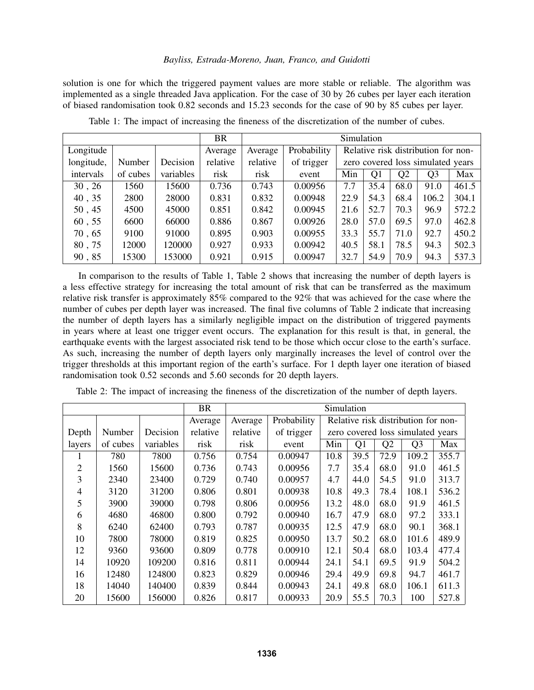solution is one for which the triggered payment values are more stable or reliable. The algorithm was implemented as a single threaded Java application. For the case of 30 by 26 cubes per layer each iteration of biased randomisation took 0.82 seconds and 15.23 seconds for the case of 90 by 85 cubes per layer.

|            |          |           | <b>BR</b> | Simulation |             |                                     |      |                |                |       |
|------------|----------|-----------|-----------|------------|-------------|-------------------------------------|------|----------------|----------------|-------|
| Longitude  |          |           | Average   | Average    | Probability | Relative risk distribution for non- |      |                |                |       |
| longitude, | Number   | Decision  | relative  | relative   | of trigger  | zero covered loss simulated years   |      |                |                |       |
| intervals  | of cubes | variables | risk      | risk       | event       | Min                                 | Q1   | Q <sub>2</sub> | Q <sub>3</sub> | Max   |
| 30, 26     | 1560     | 15600     | 0.736     | 0.743      | 0.00956     | 7.7                                 | 35.4 | 68.0           | 91.0           | 461.5 |
| 40, 35     | 2800     | 28000     | 0.831     | 0.832      | 0.00948     | 22.9                                | 54.3 | 68.4           | 106.2          | 304.1 |
| 50, 45     | 4500     | 45000     | 0.851     | 0.842      | 0.00945     | 21.6                                | 52.7 | 70.3           | 96.9           | 572.2 |
| 60, 55     | 6600     | 66000     | 0.886     | 0.867      | 0.00926     | 28.0                                | 57.0 | 69.5           | 97.0           | 462.8 |
| 70, 65     | 9100     | 91000     | 0.895     | 0.903      | 0.00955     | 33.3                                | 55.7 | 71.0           | 92.7           | 450.2 |
| 80,75      | 12000    | 120000    | 0.927     | 0.933      | 0.00942     | 40.5                                | 58.1 | 78.5           | 94.3           | 502.3 |
| 90,85      | 15300    | 153000    | 0.921     | 0.915      | 0.00947     | 32.7                                | 54.9 | 70.9           | 94.3           | 537.3 |

<span id="page-8-0"></span>Table 1: The impact of increasing the fineness of the discretization of the number of cubes.

In comparison to the results of Table [1,](#page-8-0) Table [2](#page-8-1) shows that increasing the number of depth layers is a less effective strategy for increasing the total amount of risk that can be transferred as the maximum relative risk transfer is approximately 85% compared to the 92% that was achieved for the case where the number of cubes per depth layer was increased. The final five columns of Table [2](#page-8-1) indicate that increasing the number of depth layers has a similarly negligible impact on the distribution of triggered payments in years where at least one trigger event occurs. The explanation for this result is that, in general, the earthquake events with the largest associated risk tend to be those which occur close to the earth's surface. As such, increasing the number of depth layers only marginally increases the level of control over the trigger thresholds at this important region of the earth's surface. For 1 depth layer one iteration of biased randomisation took 0.52 seconds and 5.60 seconds for 20 depth layers.

|                |          | <b>BR</b> | Simulation |          |             |                                     |      |      |                |       |  |
|----------------|----------|-----------|------------|----------|-------------|-------------------------------------|------|------|----------------|-------|--|
|                |          |           | Average    | Average  | Probability | Relative risk distribution for non- |      |      |                |       |  |
| Depth          | Number   | Decision  | relative   | relative | of trigger  | zero covered loss simulated years   |      |      |                |       |  |
| layers         | of cubes | variables | risk       | risk     | event       | Min                                 | Q1   | Q2   | Q <sub>3</sub> | Max   |  |
|                | 780      | 7800      | 0.756      | 0.754    | 0.00947     | 10.8                                | 39.5 | 72.9 | 109.2          | 355.7 |  |
| $\overline{2}$ | 1560     | 15600     | 0.736      | 0.743    | 0.00956     | 7.7                                 | 35.4 | 68.0 | 91.0           | 461.5 |  |
| 3              | 2340     | 23400     | 0.729      | 0.740    | 0.00957     | 4.7                                 | 44.0 | 54.5 | 91.0           | 313.7 |  |
| 4              | 3120     | 31200     | 0.806      | 0.801    | 0.00938     | 10.8                                | 49.3 | 78.4 | 108.1          | 536.2 |  |
| 5              | 3900     | 39000     | 0.798      | 0.806    | 0.00956     | 13.2                                | 48.0 | 68.0 | 91.9           | 461.5 |  |
| 6              | 4680     | 46800     | 0.800      | 0.792    | 0.00940     | 16.7                                | 47.9 | 68.0 | 97.2           | 333.1 |  |
| 8              | 6240     | 62400     | 0.793      | 0.787    | 0.00935     | 12.5                                | 47.9 | 68.0 | 90.1           | 368.1 |  |
| 10             | 7800     | 78000     | 0.819      | 0.825    | 0.00950     | 13.7                                | 50.2 | 68.0 | 101.6          | 489.9 |  |
| 12             | 9360     | 93600     | 0.809      | 0.778    | 0.00910     | 12.1                                | 50.4 | 68.0 | 103.4          | 477.4 |  |
| 14             | 10920    | 109200    | 0.816      | 0.811    | 0.00944     | 24.1                                | 54.1 | 69.5 | 91.9           | 504.2 |  |
| 16             | 12480    | 124800    | 0.823      | 0.829    | 0.00946     | 29.4                                | 49.9 | 69.8 | 94.7           | 461.7 |  |
| 18             | 14040    | 140400    | 0.839      | 0.844    | 0.00943     | 24.1                                | 49.8 | 68.0 | 106.1          | 611.3 |  |
| 20             | 15600    | 156000    | 0.826      | 0.817    | 0.00933     | 20.9                                | 55.5 | 70.3 | 100            | 527.8 |  |

<span id="page-8-1"></span>Table 2: The impact of increasing the fineness of the discretization of the number of depth layers.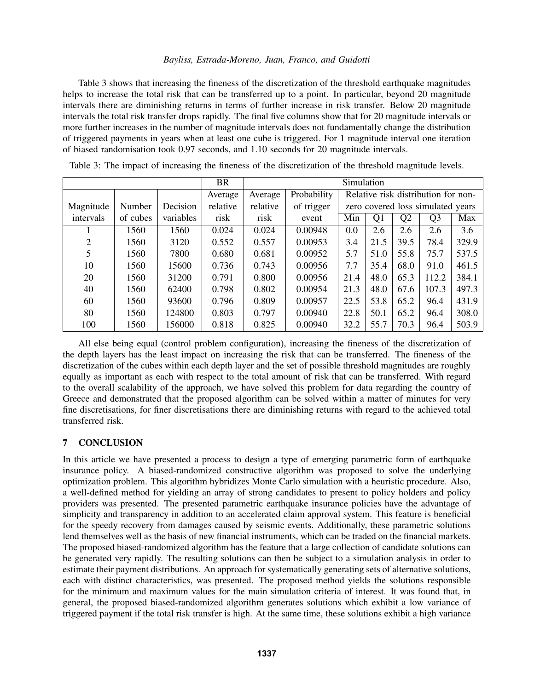Table [3](#page-9-0) shows that increasing the fineness of the discretization of the threshold earthquake magnitudes helps to increase the total risk that can be transferred up to a point. In particular, beyond 20 magnitude intervals there are diminishing returns in terms of further increase in risk transfer. Below 20 magnitude intervals the total risk transfer drops rapidly. The final five columns show that for 20 magnitude intervals or more further increases in the number of magnitude intervals does not fundamentally change the distribution of triggered payments in years when at least one cube is triggered. For 1 magnitude interval one iteration of biased randomisation took 0.97 seconds, and 1.10 seconds for 20 magnitude intervals.

|           |          |           | <b>BR</b> | Simulation |             |                                     |                |                |                |       |
|-----------|----------|-----------|-----------|------------|-------------|-------------------------------------|----------------|----------------|----------------|-------|
|           |          |           | Average   | Average    | Probability | Relative risk distribution for non- |                |                |                |       |
| Magnitude | Number   | Decision  | relative  | relative   | of trigger  | zero covered loss simulated years   |                |                |                |       |
| intervals | of cubes | variables | risk      | risk       | event       | Min                                 | Q <sub>1</sub> | Q <sub>2</sub> | Q <sub>3</sub> | Max   |
|           | 1560     | 1560      | 0.024     | 0.024      | 0.00948     | 0.0                                 | 2.6            | 2.6            | 2.6            | 3.6   |
| 2         | 1560     | 3120      | 0.552     | 0.557      | 0.00953     | 3.4                                 | 21.5           | 39.5           | 78.4           | 329.9 |
| 5         | 1560     | 7800      | 0.680     | 0.681      | 0.00952     | 5.7                                 | 51.0           | 55.8           | 75.7           | 537.5 |
| 10        | 1560     | 15600     | 0.736     | 0.743      | 0.00956     | 7.7                                 | 35.4           | 68.0           | 91.0           | 461.5 |
| 20        | 1560     | 31200     | 0.791     | 0.800      | 0.00956     | 21.4                                | 48.0           | 65.3           | 112.2          | 384.1 |
| 40        | 1560     | 62400     | 0.798     | 0.802      | 0.00954     | 21.3                                | 48.0           | 67.6           | 107.3          | 497.3 |
| 60        | 1560     | 93600     | 0.796     | 0.809      | 0.00957     | 22.5                                | 53.8           | 65.2           | 96.4           | 431.9 |
| 80        | 1560     | 124800    | 0.803     | 0.797      | 0.00940     | 22.8                                | 50.1           | 65.2           | 96.4           | 308.0 |
| 100       | 1560     | 156000    | 0.818     | 0.825      | 0.00940     | 32.2                                | 55.7           | 70.3           | 96.4           | 503.9 |

<span id="page-9-0"></span>Table 3: The impact of increasing the fineness of the discretization of the threshold magnitude levels.

All else being equal (control problem configuration), increasing the fineness of the discretization of the depth layers has the least impact on increasing the risk that can be transferred. The fineness of the discretization of the cubes within each depth layer and the set of possible threshold magnitudes are roughly equally as important as each with respect to the total amount of risk that can be transferred. With regard to the overall scalability of the approach, we have solved this problem for data regarding the country of Greece and demonstrated that the proposed algorithm can be solved within a matter of minutes for very fine discretisations, for finer discretisations there are diminishing returns with regard to the achieved total transferred risk.

# 7 CONCLUSION

In this article we have presented a process to design a type of emerging parametric form of earthquake insurance policy. A biased-randomized constructive algorithm was proposed to solve the underlying optimization problem. This algorithm hybridizes Monte Carlo simulation with a heuristic procedure. Also, a well-defined method for yielding an array of strong candidates to present to policy holders and policy providers was presented. The presented parametric earthquake insurance policies have the advantage of simplicity and transparency in addition to an accelerated claim approval system. This feature is beneficial for the speedy recovery from damages caused by seismic events. Additionally, these parametric solutions lend themselves well as the basis of new financial instruments, which can be traded on the financial markets. The proposed biased-randomized algorithm has the feature that a large collection of candidate solutions can be generated very rapidly. The resulting solutions can then be subject to a simulation analysis in order to estimate their payment distributions. An approach for systematically generating sets of alternative solutions, each with distinct characteristics, was presented. The proposed method yields the solutions responsible for the minimum and maximum values for the main simulation criteria of interest. It was found that, in general, the proposed biased-randomized algorithm generates solutions which exhibit a low variance of triggered payment if the total risk transfer is high. At the same time, these solutions exhibit a high variance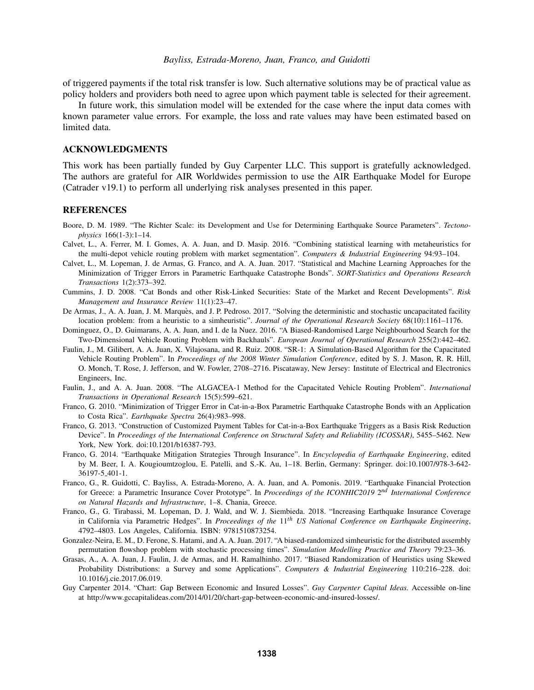of triggered payments if the total risk transfer is low. Such alternative solutions may be of practical value as policy holders and providers both need to agree upon which payment table is selected for their agreement.

In future work, this simulation model will be extended for the case where the input data comes with known parameter value errors. For example, the loss and rate values may have been estimated based on limited data.

## ACKNOWLEDGMENTS

This work has been partially funded by Guy Carpenter LLC. This support is gratefully acknowledged. The authors are grateful for AIR Worldwides permission to use the AIR Earthquake Model for Europe (Catrader v19.1) to perform all underlying risk analyses presented in this paper.

### REFERENCES

- <span id="page-10-9"></span>Boore, D. M. 1989. "The Richter Scale: its Development and Use for Determining Earthquake Source Parameters". *Tectonophysics* 166(1-3):1–14.
- <span id="page-10-12"></span>Calvet, L., A. Ferrer, M. I. Gomes, A. A. Juan, and D. Masip. 2016. "Combining statistical learning with metaheuristics for the multi-depot vehicle routing problem with market segmentation". *Computers & Industrial Engineering* 94:93–104.
- <span id="page-10-8"></span>Calvet, L., M. Lopeman, J. de Armas, G. Franco, and A. A. Juan. 2017. "Statistical and Machine Learning Approaches for the Minimization of Trigger Errors in Parametric Earthquake Catastrophe Bonds". *SORT-Statistics and Operations Research Transactions* 1(2):373–392.
- <span id="page-10-5"></span>Cummins, J. D. 2008. "Cat Bonds and other Risk-Linked Securities: State of the Market and Recent Developments". *Risk Management and Insurance Review* 11(1):23–47.
- <span id="page-10-14"></span>De Armas, J., A. A. Juan, J. M. Marquès, and J. P. Pedroso. 2017. "Solving the deterministic and stochastic uncapacitated facility location problem: from a heuristic to a simheuristic". *Journal of the Operational Research Society* 68(10):1161–1176.
- <span id="page-10-13"></span>Dominguez, O., D. Guimarans, A. A. Juan, and I. de la Nuez. 2016. "A Biased-Randomised Large Neighbourhood Search for the Two-Dimensional Vehicle Routing Problem with Backhauls". *European Journal of Operational Research* 255(2):442–462.
- <span id="page-10-11"></span>Faulin, J., M. Gilibert, A. A. Juan, X. Vilajosana, and R. Ruiz. 2008. "SR-1: A Simulation-Based Algorithm for the Capacitated Vehicle Routing Problem". In *Proceedings of the 2008 Winter Simulation Conference*, edited by S. J. Mason, R. R. Hill, O. Monch, T. Rose, J. Jefferson, and W. Fowler, 2708–2716. Piscataway, New Jersey: Institute of Electrical and Electronics Engineers, Inc.
- <span id="page-10-10"></span>Faulin, J., and A. A. Juan. 2008. "The ALGACEA-1 Method for the Capacitated Vehicle Routing Problem". *International Transactions in Operational Research* 15(5):599–621.
- <span id="page-10-6"></span>Franco, G. 2010. "Minimization of Trigger Error in Cat-in-a-Box Parametric Earthquake Catastrophe Bonds with an Application to Costa Rica". *Earthquake Spectra* 26(4):983–998.
- <span id="page-10-7"></span>Franco, G. 2013. "Construction of Customized Payment Tables for Cat-in-a-Box Earthquake Triggers as a Basis Risk Reduction Device". In *Proceedings of the International Conference on Structural Safety and Reliability (ICOSSAR)*, 5455–5462. New York, New York. doi:10.1201/b16387-793.
- <span id="page-10-0"></span>Franco, G. 2014. "Earthquake Mitigation Strategies Through Insurance". In *Encyclopedia of Earthquake Engineering*, edited by M. Beer, I. A. Kougioumtzoglou, E. Patelli, and S.-K. Au, 1–18. Berlin, Germany: Springer. doi:10.1007/978-3-642- 36197-5 401-1.
- <span id="page-10-4"></span>Franco, G., R. Guidotti, C. Bayliss, A. Estrada-Moreno, A. A. Juan, and A. Pomonis. 2019. "Earthquake Financial Protection for Greece: a Parametric Insurance Cover Prototype". In *Proceedings of the ICONHIC2019* 2 *nd International Conference on Natural Hazards and Infrastructure*, 1–8. Chania, Greece.
- <span id="page-10-3"></span>Franco, G., G. Tirabassi, M. Lopeman, D. J. Wald, and W. J. Siembieda. 2018. "Increasing Earthquake Insurance Coverage in California via Parametric Hedges". In *Proceedings of the* 11*th US National Conference on Earthquake Engineering*, 4792–4803. Los Angeles, California. ISBN: 9781510873254.
- <span id="page-10-15"></span>Gonzalez-Neira, E. M., D. Ferone, S. Hatami, and A. A. Juan. 2017. "A biased-randomized simheuristic for the distributed assembly permutation flowshop problem with stochastic processing times". *Simulation Modelling Practice and Theory* 79:23–36.
- <span id="page-10-1"></span>Grasas, A., A. A. Juan, J. Faulin, J. de Armas, and H. Ramalhinho. 2017. "Biased Randomization of Heuristics using Skewed Probability Distributions: a Survey and some Applications". *Computers & Industrial Engineering* 110:216–228. doi: 10.1016/j.cie.2017.06.019.
- <span id="page-10-2"></span>Guy Carpenter 2014. "Chart: Gap Between Economic and Insured Losses". *Guy Carpenter Capital Ideas.* Accessible on-line at http://www.gccapitalideas.com/2014/01/20/chart-gap-between-economic-and-insured-losses/.